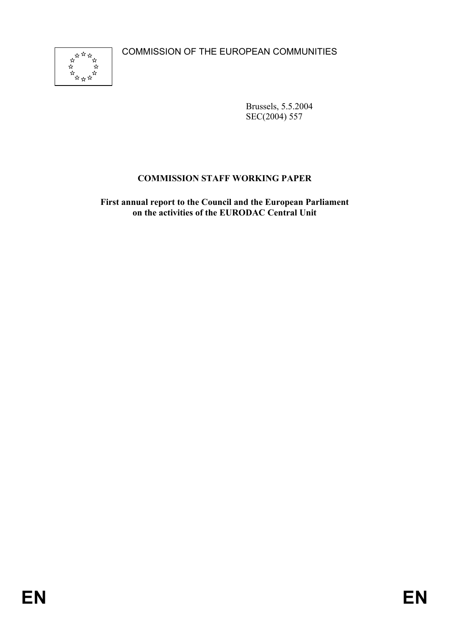COMMISSION OF THE EUROPEAN COMMUNITIES



Brussels, 5.5.2004 SEC(2004) 557

## **COMMISSION STAFF WORKING PAPER**

**First annual report to the Council and the European Parliament on the activities of the EURODAC Central Unit**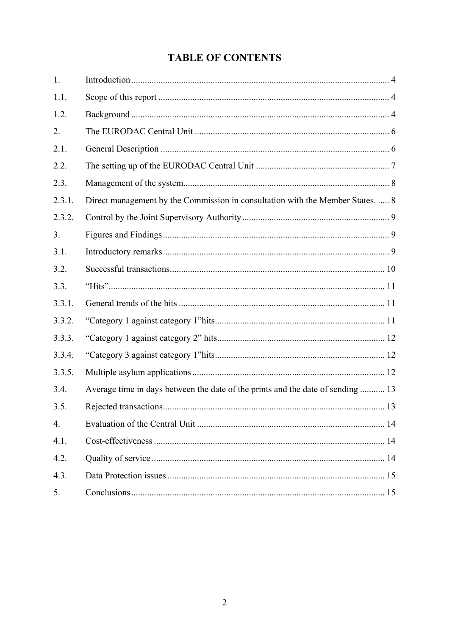# **TABLE OF CONTENTS**

| 1.               |                                                                                 |  |
|------------------|---------------------------------------------------------------------------------|--|
| 1.1.             |                                                                                 |  |
| 1.2.             |                                                                                 |  |
| 2.               |                                                                                 |  |
| 2.1.             |                                                                                 |  |
| 2.2.             |                                                                                 |  |
| 2.3.             |                                                                                 |  |
| 2.3.1.           | Direct management by the Commission in consultation with the Member States.  8  |  |
| 2.3.2.           |                                                                                 |  |
| 3.               |                                                                                 |  |
| 3.1.             |                                                                                 |  |
| 3.2.             |                                                                                 |  |
| 3.3.             |                                                                                 |  |
| 3.3.1.           |                                                                                 |  |
| 3.3.2.           |                                                                                 |  |
| 3.3.3.           |                                                                                 |  |
| 3.3.4.           |                                                                                 |  |
| 3.3.5.           |                                                                                 |  |
| 3.4.             | Average time in days between the date of the prints and the date of sending  13 |  |
| 3.5.             |                                                                                 |  |
| $\overline{4}$ . |                                                                                 |  |
| 4.1.             |                                                                                 |  |
| 4.2.             |                                                                                 |  |
| 4.3.             |                                                                                 |  |
| 5.               |                                                                                 |  |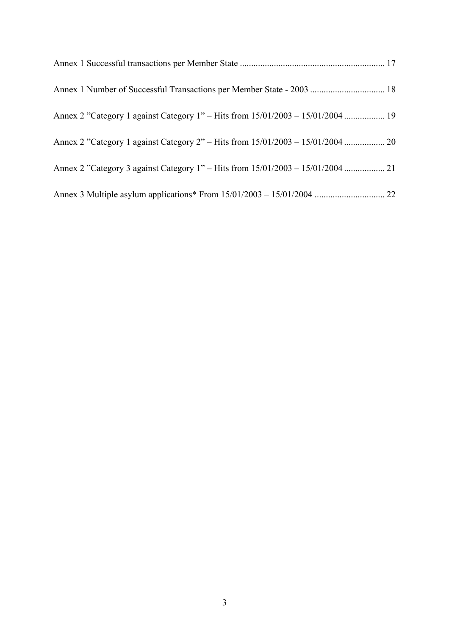| Annex 2 "Category 1 against Category 1" – Hits from 15/01/2003 – 15/01/2004  19 |  |
|---------------------------------------------------------------------------------|--|
|                                                                                 |  |
|                                                                                 |  |
|                                                                                 |  |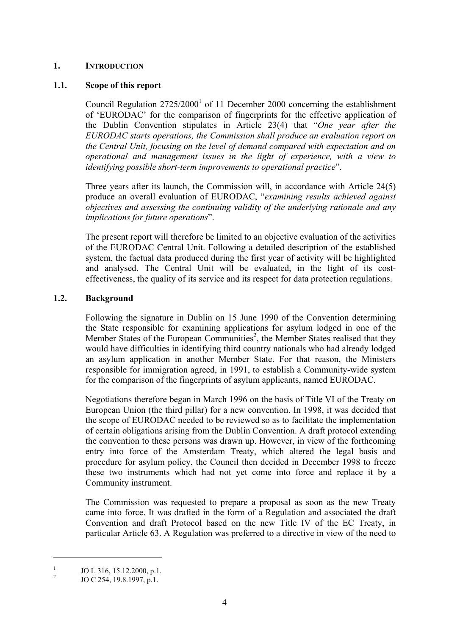### **1. INTRODUCTION**

### **1.1. Scope of this report**

Council Regulation  $2725/2000<sup>1</sup>$  of 11 December 2000 concerning the establishment of 'EURODAC' for the comparison of fingerprints for the effective application of the Dublin Convention stipulates in Article 23(4) that "*One year after the EURODAC starts operations, the Commission shall produce an evaluation report on the Central Unit, focusing on the level of demand compared with expectation and on operational and management issues in the light of experience, with a view to identifying possible short-term improvements to operational practice*".

Three years after its launch, the Commission will, in accordance with Article 24(5) produce an overall evaluation of EURODAC, "*examining results achieved against objectives and assessing the continuing validity of the underlying rationale and any implications for future operations*".

The present report will therefore be limited to an objective evaluation of the activities of the EURODAC Central Unit. Following a detailed description of the established system, the factual data produced during the first year of activity will be highlighted and analysed. The Central Unit will be evaluated, in the light of its costeffectiveness, the quality of its service and its respect for data protection regulations.

### **1.2. Background**

Following the signature in Dublin on 15 June 1990 of the Convention determining the State responsible for examining applications for asylum lodged in one of the Member States of the European Communities<sup>2</sup>, the Member States realised that they would have difficulties in identifying third country nationals who had already lodged an asylum application in another Member State. For that reason, the Ministers responsible for immigration agreed, in 1991, to establish a Community-wide system for the comparison of the fingerprints of asylum applicants, named EURODAC.

Negotiations therefore began in March 1996 on the basis of Title VI of the Treaty on European Union (the third pillar) for a new convention. In 1998, it was decided that the scope of EURODAC needed to be reviewed so as to facilitate the implementation of certain obligations arising from the Dublin Convention. A draft protocol extending the convention to these persons was drawn up. However, in view of the forthcoming entry into force of the Amsterdam Treaty, which altered the legal basis and procedure for asylum policy, the Council then decided in December 1998 to freeze these two instruments which had not yet come into force and replace it by a Community instrument.

The Commission was requested to prepare a proposal as soon as the new Treaty came into force. It was drafted in the form of a Regulation and associated the draft Convention and draft Protocol based on the new Title IV of the EC Treaty, in particular Article 63. A Regulation was preferred to a directive in view of the need to

1

<sup>1</sup> JO L 316, 15.12.2000, p.1.

 $\overline{2}$ JO C 254, 19.8.1997, p.1.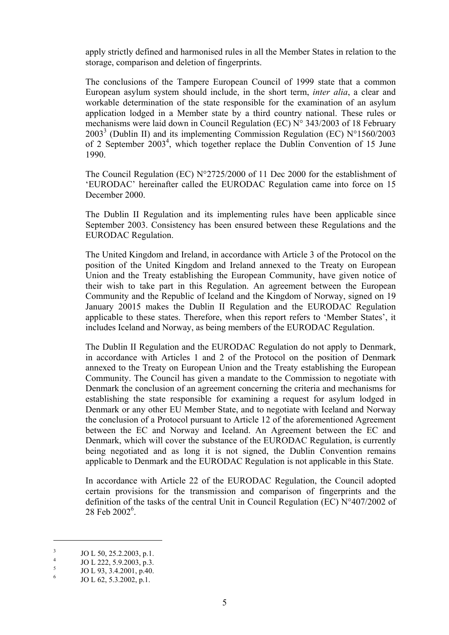apply strictly defined and harmonised rules in all the Member States in relation to the storage, comparison and deletion of fingerprints.

The conclusions of the Tampere European Council of 1999 state that a common European asylum system should include, in the short term, *inter alia*, a clear and workable determination of the state responsible for the examination of an asylum application lodged in a Member state by a third country national. These rules or mechanisms were laid down in Council Regulation (EC) N° 343/2003 of 18 February 2003<sup>3</sup> (Dublin II) and its implementing Commission Regulation (EC)  $N^{\circ}1560/2003$ of 2 September 2003<sup>4</sup>, which together replace the Dublin Convention of 15 June 1990.

The Council Regulation (EC) N°2725/2000 of 11 Dec 2000 for the establishment of 'EURODAC' hereinafter called the EURODAC Regulation came into force on 15 December 2000.

The Dublin II Regulation and its implementing rules have been applicable since September 2003. Consistency has been ensured between these Regulations and the EURODAC Regulation.

The United Kingdom and Ireland, in accordance with Article 3 of the Protocol on the position of the United Kingdom and Ireland annexed to the Treaty on European Union and the Treaty establishing the European Community, have given notice of their wish to take part in this Regulation. An agreement between the European Community and the Republic of Iceland and the Kingdom of Norway, signed on 19 January 20015 makes the Dublin II Regulation and the EURODAC Regulation applicable to these states. Therefore, when this report refers to 'Member States', it includes Iceland and Norway, as being members of the EURODAC Regulation.

The Dublin II Regulation and the EURODAC Regulation do not apply to Denmark, in accordance with Articles 1 and 2 of the Protocol on the position of Denmark annexed to the Treaty on European Union and the Treaty establishing the European Community. The Council has given a mandate to the Commission to negotiate with Denmark the conclusion of an agreement concerning the criteria and mechanisms for establishing the state responsible for examining a request for asylum lodged in Denmark or any other EU Member State, and to negotiate with Iceland and Norway the conclusion of a Protocol pursuant to Article 12 of the aforementioned Agreement between the EC and Norway and Iceland. An Agreement between the EC and Denmark, which will cover the substance of the EURODAC Regulation, is currently being negotiated and as long it is not signed, the Dublin Convention remains applicable to Denmark and the EURODAC Regulation is not applicable in this State.

In accordance with Article 22 of the EURODAC Regulation, the Council adopted certain provisions for the transmission and comparison of fingerprints and the definition of the tasks of the central Unit in Council Regulation (EC) N°407/2002 of  $28$  Feb  $2002^6$ .

<u>.</u>

<sup>3</sup> JO L 50, 25.2.2003, p.1.

<sup>4</sup> JO L 222, 5.9.2003, p.3.

<sup>5</sup> JO L 93, 3.4.2001, p.40.

<sup>6</sup> JO L 62, 5.3.2002, p.1.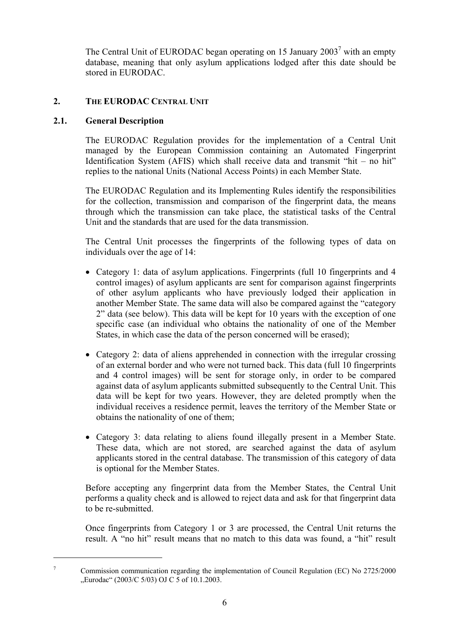The Central Unit of EURODAC began operating on 15 January  $2003^7$  with an empty database, meaning that only asylum applications lodged after this date should be stored in EURODAC.

## **2. THE EURODAC CENTRAL UNIT**

### **2.1. General Description**

1

The EURODAC Regulation provides for the implementation of a Central Unit managed by the European Commission containing an Automated Fingerprint Identification System (AFIS) which shall receive data and transmit "hit – no hit" replies to the national Units (National Access Points) in each Member State.

The EURODAC Regulation and its Implementing Rules identify the responsibilities for the collection, transmission and comparison of the fingerprint data, the means through which the transmission can take place, the statistical tasks of the Central Unit and the standards that are used for the data transmission.

The Central Unit processes the fingerprints of the following types of data on individuals over the age of 14:

- Category 1: data of asylum applications. Fingerprints (full 10 fingerprints and 4 control images) of asylum applicants are sent for comparison against fingerprints of other asylum applicants who have previously lodged their application in another Member State. The same data will also be compared against the "category 2" data (see below). This data will be kept for 10 years with the exception of one specific case (an individual who obtains the nationality of one of the Member States, in which case the data of the person concerned will be erased);
- Category 2: data of aliens apprehended in connection with the irregular crossing of an external border and who were not turned back. This data (full 10 fingerprints and 4 control images) will be sent for storage only, in order to be compared against data of asylum applicants submitted subsequently to the Central Unit. This data will be kept for two years. However, they are deleted promptly when the individual receives a residence permit, leaves the territory of the Member State or obtains the nationality of one of them;
- Category 3: data relating to aliens found illegally present in a Member State. These data, which are not stored, are searched against the data of asylum applicants stored in the central database. The transmission of this category of data is optional for the Member States.

Before accepting any fingerprint data from the Member States, the Central Unit performs a quality check and is allowed to reject data and ask for that fingerprint data to be re-submitted.

Once fingerprints from Category 1 or 3 are processed, the Central Unit returns the result. A "no hit" result means that no match to this data was found, a "hit" result

<sup>7</sup> Commission communication regarding the implementation of Council Regulation (EC) No 2725/2000  $Eurodac''$  (2003/C 5/03) OJ C 5 of 10.1.2003.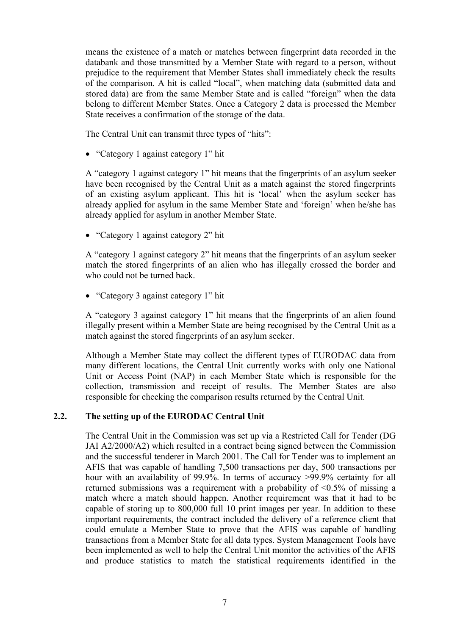means the existence of a match or matches between fingerprint data recorded in the databank and those transmitted by a Member State with regard to a person, without prejudice to the requirement that Member States shall immediately check the results of the comparison. A hit is called "local", when matching data (submitted data and stored data) are from the same Member State and is called "foreign" when the data belong to different Member States. Once a Category 2 data is processed the Member State receives a confirmation of the storage of the data.

The Central Unit can transmit three types of "hits":

• "Category 1 against category 1" hit

A "category 1 against category 1" hit means that the fingerprints of an asylum seeker have been recognised by the Central Unit as a match against the stored fingerprints of an existing asylum applicant. This hit is 'local' when the asylum seeker has already applied for asylum in the same Member State and 'foreign' when he/she has already applied for asylum in another Member State.

• "Category 1 against category 2" hit

A "category 1 against category 2" hit means that the fingerprints of an asylum seeker match the stored fingerprints of an alien who has illegally crossed the border and who could not be turned back.

• "Category 3 against category 1" hit

A "category 3 against category 1" hit means that the fingerprints of an alien found illegally present within a Member State are being recognised by the Central Unit as a match against the stored fingerprints of an asylum seeker.

Although a Member State may collect the different types of EURODAC data from many different locations, the Central Unit currently works with only one National Unit or Access Point (NAP) in each Member State which is responsible for the collection, transmission and receipt of results. The Member States are also responsible for checking the comparison results returned by the Central Unit.

#### **2.2. The setting up of the EURODAC Central Unit**

The Central Unit in the Commission was set up via a Restricted Call for Tender (DG JAI A2/2000/A2) which resulted in a contract being signed between the Commission and the successful tenderer in March 2001. The Call for Tender was to implement an AFIS that was capable of handling 7,500 transactions per day, 500 transactions per hour with an availability of 99.9%. In terms of accuracy >99.9% certainty for all returned submissions was a requirement with a probability of <0.5% of missing a match where a match should happen. Another requirement was that it had to be capable of storing up to 800,000 full 10 print images per year. In addition to these important requirements, the contract included the delivery of a reference client that could emulate a Member State to prove that the AFIS was capable of handling transactions from a Member State for all data types. System Management Tools have been implemented as well to help the Central Unit monitor the activities of the AFIS and produce statistics to match the statistical requirements identified in the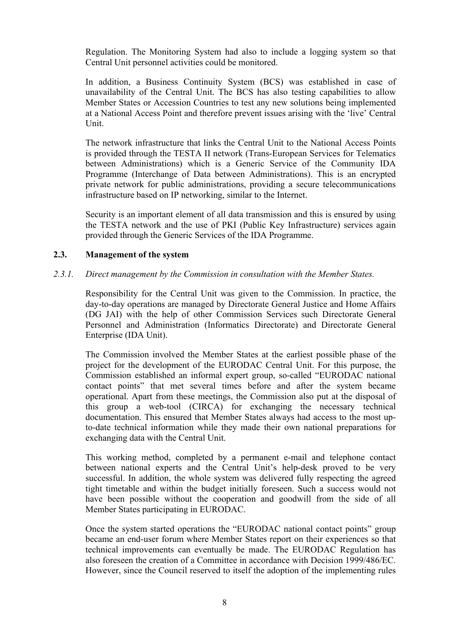Regulation. The Monitoring System had also to include a logging system so that Central Unit personnel activities could be monitored.

In addition, a Business Continuity System (BCS) was established in case of unavailability of the Central Unit. The BCS has also testing capabilities to allow Member States or Accession Countries to test any new solutions being implemented at a National Access Point and therefore prevent issues arising with the 'live' Central Unit.

The network infrastructure that links the Central Unit to the National Access Points is provided through the TESTA II network (Trans-European Services for Telematics between Administrations) which is a Generic Service of the Community IDA Programme (Interchange of Data between Administrations). This is an encrypted private network for public administrations, providing a secure telecommunications infrastructure based on IP networking, similar to the Internet.

Security is an important element of all data transmission and this is ensured by using the TESTA network and the use of PKI (Public Key Infrastructure) services again provided through the Generic Services of the IDA Programme.

### **2.3. Management of the system**

### *2.3.1. Direct management by the Commission in consultation with the Member States.*

Responsibility for the Central Unit was given to the Commission. In practice, the day-to-day operations are managed by Directorate General Justice and Home Affairs (DG JAI) with the help of other Commission Services such Directorate General Personnel and Administration (Informatics Directorate) and Directorate General Enterprise (IDA Unit).

The Commission involved the Member States at the earliest possible phase of the project for the development of the EURODAC Central Unit. For this purpose, the Commission established an informal expert group, so-called "EURODAC national contact points" that met several times before and after the system became operational. Apart from these meetings, the Commission also put at the disposal of this group a web-tool (CIRCA) for exchanging the necessary technical documentation. This ensured that Member States always had access to the most upto-date technical information while they made their own national preparations for exchanging data with the Central Unit.

This working method, completed by a permanent e-mail and telephone contact between national experts and the Central Unit's help-desk proved to be very successful. In addition, the whole system was delivered fully respecting the agreed tight timetable and within the budget initially foreseen. Such a success would not have been possible without the cooperation and goodwill from the side of all Member States participating in EURODAC.

Once the system started operations the "EURODAC national contact points" group became an end-user forum where Member States report on their experiences so that technical improvements can eventually be made. The EURODAC Regulation has also foreseen the creation of a Committee in accordance with Decision 1999/486/EC. However, since the Council reserved to itself the adoption of the implementing rules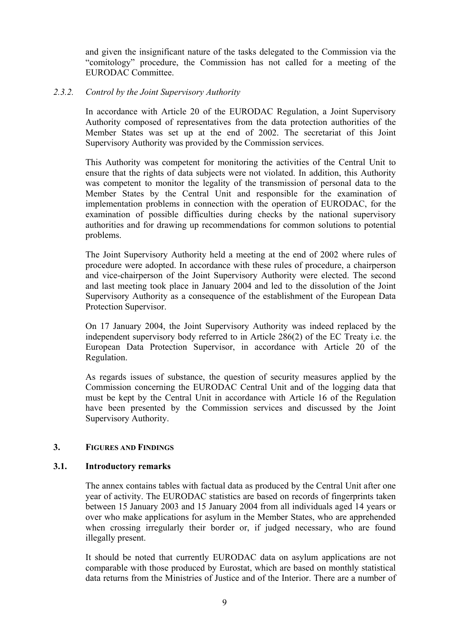and given the insignificant nature of the tasks delegated to the Commission via the "comitology" procedure, the Commission has not called for a meeting of the EURODAC Committee.

#### *2.3.2. Control by the Joint Supervisory Authority*

In accordance with Article 20 of the EURODAC Regulation, a Joint Supervisory Authority composed of representatives from the data protection authorities of the Member States was set up at the end of 2002. The secretariat of this Joint Supervisory Authority was provided by the Commission services.

This Authority was competent for monitoring the activities of the Central Unit to ensure that the rights of data subjects were not violated. In addition, this Authority was competent to monitor the legality of the transmission of personal data to the Member States by the Central Unit and responsible for the examination of implementation problems in connection with the operation of EURODAC, for the examination of possible difficulties during checks by the national supervisory authorities and for drawing up recommendations for common solutions to potential problems.

The Joint Supervisory Authority held a meeting at the end of 2002 where rules of procedure were adopted. In accordance with these rules of procedure, a chairperson and vice-chairperson of the Joint Supervisory Authority were elected. The second and last meeting took place in January 2004 and led to the dissolution of the Joint Supervisory Authority as a consequence of the establishment of the European Data Protection Supervisor.

On 17 January 2004, the Joint Supervisory Authority was indeed replaced by the independent supervisory body referred to in Article 286(2) of the EC Treaty i.e. the European Data Protection Supervisor, in accordance with Article 20 of the Regulation.

As regards issues of substance, the question of security measures applied by the Commission concerning the EURODAC Central Unit and of the logging data that must be kept by the Central Unit in accordance with Article 16 of the Regulation have been presented by the Commission services and discussed by the Joint Supervisory Authority.

### **3. FIGURES AND FINDINGS**

### **3.1. Introductory remarks**

The annex contains tables with factual data as produced by the Central Unit after one year of activity. The EURODAC statistics are based on records of fingerprints taken between 15 January 2003 and 15 January 2004 from all individuals aged 14 years or over who make applications for asylum in the Member States, who are apprehended when crossing irregularly their border or, if judged necessary, who are found illegally present.

It should be noted that currently EURODAC data on asylum applications are not comparable with those produced by Eurostat, which are based on monthly statistical data returns from the Ministries of Justice and of the Interior. There are a number of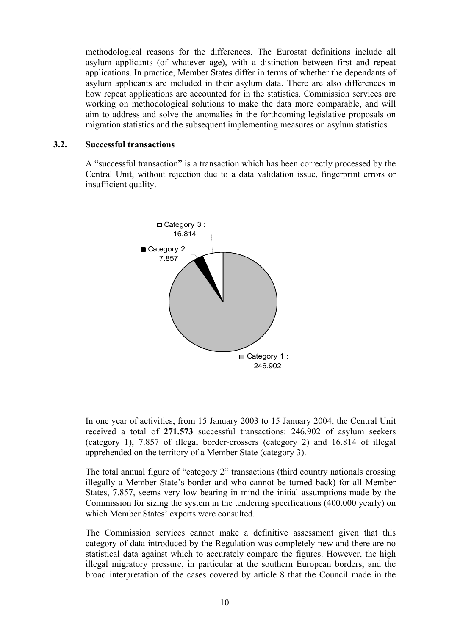methodological reasons for the differences. The Eurostat definitions include all asylum applicants (of whatever age), with a distinction between first and repeat applications. In practice, Member States differ in terms of whether the dependants of asylum applicants are included in their asylum data. There are also differences in how repeat applications are accounted for in the statistics. Commission services are working on methodological solutions to make the data more comparable, and will aim to address and solve the anomalies in the forthcoming legislative proposals on migration statistics and the subsequent implementing measures on asylum statistics.

#### **3.2. Successful transactions**

A "successful transaction" is a transaction which has been correctly processed by the Central Unit, without rejection due to a data validation issue, fingerprint errors or insufficient quality.



In one year of activities, from 15 January 2003 to 15 January 2004, the Central Unit received a total of **271.573** successful transactions: 246.902 of asylum seekers (category 1), 7.857 of illegal border-crossers (category 2) and 16.814 of illegal apprehended on the territory of a Member State (category 3).

The total annual figure of "category 2" transactions (third country nationals crossing illegally a Member State's border and who cannot be turned back) for all Member States, 7.857, seems very low bearing in mind the initial assumptions made by the Commission for sizing the system in the tendering specifications (400.000 yearly) on which Member States' experts were consulted.

The Commission services cannot make a definitive assessment given that this category of data introduced by the Regulation was completely new and there are no statistical data against which to accurately compare the figures. However, the high illegal migratory pressure, in particular at the southern European borders, and the broad interpretation of the cases covered by article 8 that the Council made in the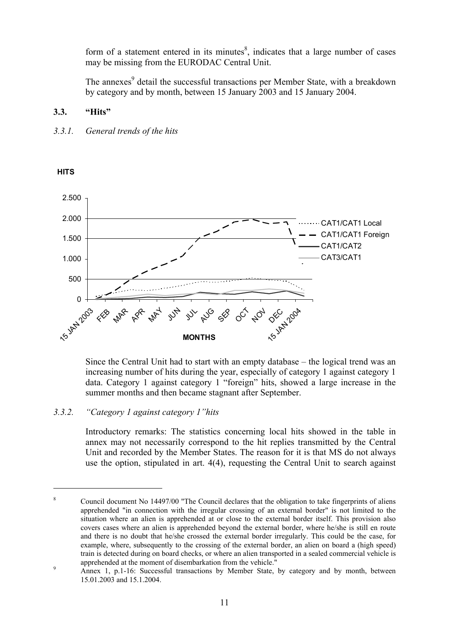form of a statement entered in its minutes $\delta$ , indicates that a large number of cases may be missing from the EURODAC Central Unit.

The annexes<sup>9</sup> detail the successful transactions per Member State, with a breakdown by category and by month, between 15 January 2003 and 15 January 2004.

## **3.3. "Hits"**



#### $\Omega$ 500 1.000 1.500 2.000 2.500 15 JAN 2005 FEB **MAR** APR<sub>R</sub> **MAY**  $z<sub>z</sub>$ **JUL** AUG SEP  $\delta^{\!\!\hat{\zeta}}$ NOV **DEC** 2004 **MONTHS** CAT1/CAT1 Local CAT1/CAT1 Foreign CAT1/CAT2 CAT3/CAT1

Since the Central Unit had to start with an empty database – the logical trend was an increasing number of hits during the year, especially of category 1 against category 1 data. Category 1 against category 1 "foreign" hits, showed a large increase in the summer months and then became stagnant after September.

## *3.3.2. "Category 1 against category 1"hits*

Introductory remarks: The statistics concerning local hits showed in the table in annex may not necessarily correspond to the hit replies transmitted by the Central Unit and recorded by the Member States. The reason for it is that MS do not always use the option, stipulated in art. 4(4), requesting the Central Unit to search against

### **HITS**

<u>.</u>

<sup>8</sup> Council document No 14497/00 "The Council declares that the obligation to take fingerprints of aliens apprehended "in connection with the irregular crossing of an external border" is not limited to the situation where an alien is apprehended at or close to the external border itself. This provision also covers cases where an alien is apprehended beyond the external border, where he/she is still en route and there is no doubt that he/she crossed the external border irregularly. This could be the case, for example, where, subsequently to the crossing of the external border, an alien on board a (high speed) train is detected during on board checks, or where an alien transported in a sealed commercial vehicle is apprehended at the moment of disembarkation from the vehicle." 9

Annex 1, p.1-16: Successful transactions by Member State, by category and by month, between 15.01.2003 and 15.1.2004.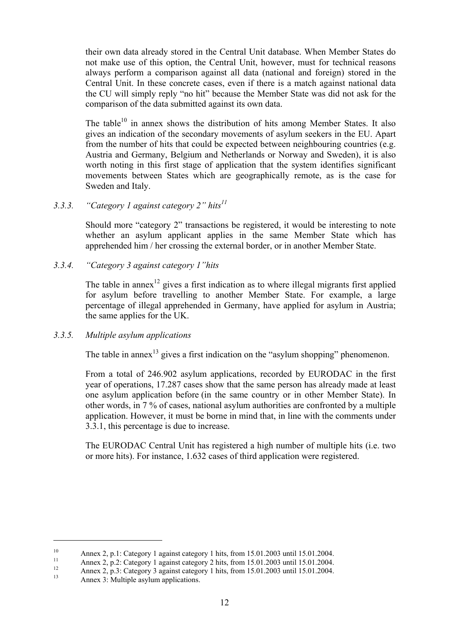their own data already stored in the Central Unit database. When Member States do not make use of this option, the Central Unit, however, must for technical reasons always perform a comparison against all data (national and foreign) stored in the Central Unit. In these concrete cases, even if there is a match against national data the CU will simply reply "no hit" because the Member State was did not ask for the comparison of the data submitted against its own data.

The table $10$  in annex shows the distribution of hits among Member States. It also gives an indication of the secondary movements of asylum seekers in the EU. Apart from the number of hits that could be expected between neighbouring countries (e.g. Austria and Germany, Belgium and Netherlands or Norway and Sweden), it is also worth noting in this first stage of application that the system identifies significant movements between States which are geographically remote, as is the case for Sweden and Italy.

## *3.3.3. "Category 1 against category 2" hits11*

Should more "category 2" transactions be registered, it would be interesting to note whether an asylum applicant applies in the same Member State which has apprehended him / her crossing the external border, or in another Member State.

### *3.3.4. "Category 3 against category 1"hits*

The table in annex<sup>12</sup> gives a first indication as to where illegal migrants first applied for asylum before travelling to another Member State. For example, a large percentage of illegal apprehended in Germany, have applied for asylum in Austria; the same applies for the UK.

### *3.3.5. Multiple asylum applications*

The table in annex<sup>13</sup> gives a first indication on the "asylum shopping" phenomenon.

From a total of 246.902 asylum applications, recorded by EURODAC in the first year of operations, 17.287 cases show that the same person has already made at least one asylum application before (in the same country or in other Member State). In other words, in 7 % of cases, national asylum authorities are confronted by a multiple application. However, it must be borne in mind that, in line with the comments under 3.3.1, this percentage is due to increase.

The EURODAC Central Unit has registered a high number of multiple hits (i.e. two or more hits). For instance, 1.632 cases of third application were registered.

<u>.</u>

<sup>10</sup> Annex 2, p.1: Category 1 against category 1 hits, from 15.01.2003 until 15.01.2004.

<sup>&</sup>lt;sup>11</sup> Annex 2, p.2: Category 1 against category 2 hits, from 15.01.2003 until 15.01.2004.

<sup>&</sup>lt;sup>12</sup> Annex 2, p.3: Category 3 against category 1 hits, from 15.01.2003 until 15.01.2004.

Annex 3: Multiple asylum applications.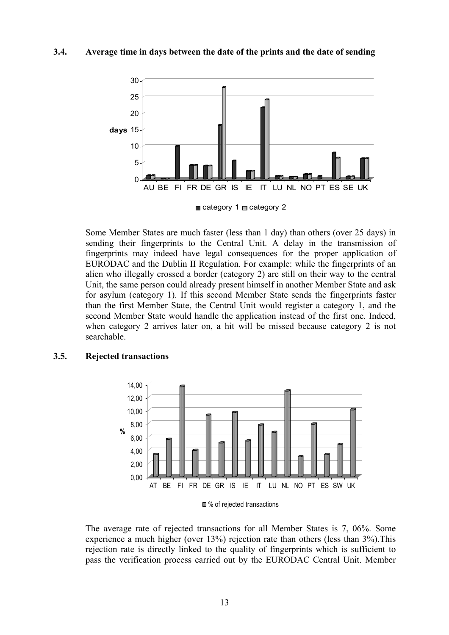#### **3.4. Average time in days between the date of the prints and the date of sending**



 $\blacksquare$  category 1  $\blacksquare$  category 2

Some Member States are much faster (less than 1 day) than others (over 25 days) in sending their fingerprints to the Central Unit. A delay in the transmission of fingerprints may indeed have legal consequences for the proper application of EURODAC and the Dublin II Regulation. For example: while the fingerprints of an alien who illegally crossed a border (category 2) are still on their way to the central Unit, the same person could already present himself in another Member State and ask for asylum (category 1). If this second Member State sends the fingerprints faster than the first Member State, the Central Unit would register a category 1, and the second Member State would handle the application instead of the first one. Indeed, when category 2 arrives later on, a hit will be missed because category 2 is not searchable.

#### **3.5. Rejected transactions**



<sup>■ %</sup> of rejected transactions

The average rate of rejected transactions for all Member States is 7, 06%. Some experience a much higher (over 13%) rejection rate than others (less than 3%).This rejection rate is directly linked to the quality of fingerprints which is sufficient to pass the verification process carried out by the EURODAC Central Unit. Member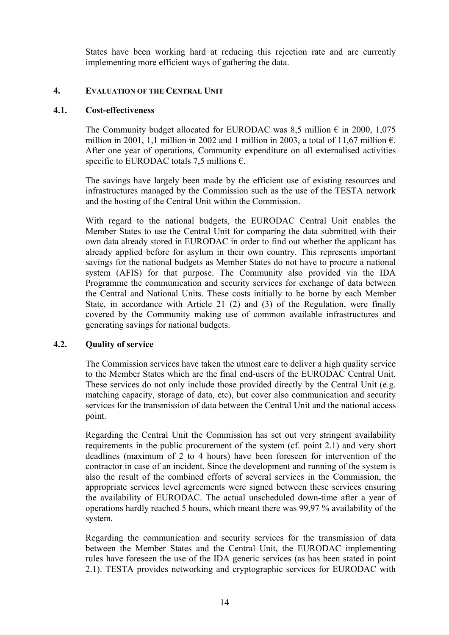States have been working hard at reducing this rejection rate and are currently implementing more efficient ways of gathering the data.

### **4. EVALUATION OF THE CENTRAL UNIT**

#### **4.1. Cost-effectiveness**

The Community budget allocated for EURODAC was 8.5 million  $\epsilon$  in 2000, 1,075 million in 2001, 1,1 million in 2002 and 1 million in 2003, a total of 11,67 million  $\epsilon$ . After one year of operations, Community expenditure on all externalised activities specific to EURODAC totals 7.5 millions  $\epsilon$ .

The savings have largely been made by the efficient use of existing resources and infrastructures managed by the Commission such as the use of the TESTA network and the hosting of the Central Unit within the Commission.

With regard to the national budgets, the EURODAC Central Unit enables the Member States to use the Central Unit for comparing the data submitted with their own data already stored in EURODAC in order to find out whether the applicant has already applied before for asylum in their own country. This represents important savings for the national budgets as Member States do not have to procure a national system (AFIS) for that purpose. The Community also provided via the IDA Programme the communication and security services for exchange of data between the Central and National Units. These costs initially to be borne by each Member State, in accordance with Article 21 (2) and (3) of the Regulation, were finally covered by the Community making use of common available infrastructures and generating savings for national budgets.

### **4.2. Quality of service**

The Commission services have taken the utmost care to deliver a high quality service to the Member States which are the final end-users of the EURODAC Central Unit. These services do not only include those provided directly by the Central Unit (e.g. matching capacity, storage of data, etc), but cover also communication and security services for the transmission of data between the Central Unit and the national access point.

Regarding the Central Unit the Commission has set out very stringent availability requirements in the public procurement of the system (cf. point 2.1) and very short deadlines (maximum of 2 to 4 hours) have been foreseen for intervention of the contractor in case of an incident. Since the development and running of the system is also the result of the combined efforts of several services in the Commission, the appropriate services level agreements were signed between these services ensuring the availability of EURODAC. The actual unscheduled down-time after a year of operations hardly reached 5 hours, which meant there was 99,97 % availability of the system.

Regarding the communication and security services for the transmission of data between the Member States and the Central Unit, the EURODAC implementing rules have foreseen the use of the IDA generic services (as has been stated in point 2.1). TESTA provides networking and cryptographic services for EURODAC with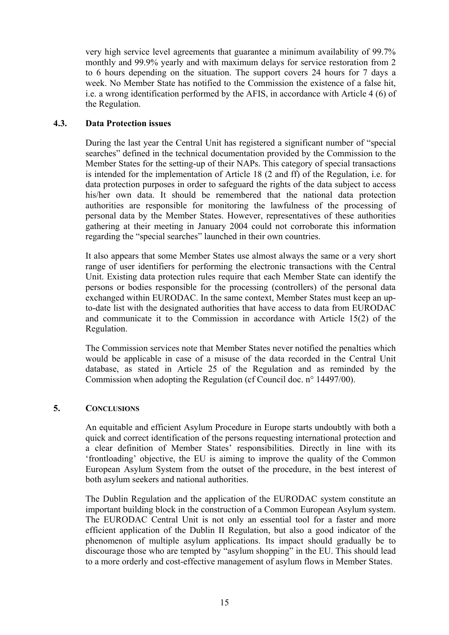very high service level agreements that guarantee a minimum availability of 99.7% monthly and 99.9% yearly and with maximum delays for service restoration from 2 to 6 hours depending on the situation. The support covers 24 hours for 7 days a week. No Member State has notified to the Commission the existence of a false hit, i.e. a wrong identification performed by the AFIS, in accordance with Article 4 (6) of the Regulation.

### **4.3. Data Protection issues**

During the last year the Central Unit has registered a significant number of "special searches" defined in the technical documentation provided by the Commission to the Member States for the setting-up of their NAPs. This category of special transactions is intended for the implementation of Article 18 (2 and ff) of the Regulation, i.e. for data protection purposes in order to safeguard the rights of the data subject to access his/her own data. It should be remembered that the national data protection authorities are responsible for monitoring the lawfulness of the processing of personal data by the Member States. However, representatives of these authorities gathering at their meeting in January 2004 could not corroborate this information regarding the "special searches" launched in their own countries.

It also appears that some Member States use almost always the same or a very short range of user identifiers for performing the electronic transactions with the Central Unit. Existing data protection rules require that each Member State can identify the persons or bodies responsible for the processing (controllers) of the personal data exchanged within EURODAC. In the same context, Member States must keep an upto-date list with the designated authorities that have access to data from EURODAC and communicate it to the Commission in accordance with Article 15(2) of the Regulation.

The Commission services note that Member States never notified the penalties which would be applicable in case of a misuse of the data recorded in the Central Unit database, as stated in Article 25 of the Regulation and as reminded by the Commission when adopting the Regulation (cf Council doc. n° 14497/00).

#### **5. CONCLUSIONS**

An equitable and efficient Asylum Procedure in Europe starts undoubtly with both a quick and correct identification of the persons requesting international protection and a clear definition of Member States' responsibilities. Directly in line with its 'frontloading' objective, the EU is aiming to improve the quality of the Common European Asylum System from the outset of the procedure, in the best interest of both asylum seekers and national authorities.

The Dublin Regulation and the application of the EURODAC system constitute an important building block in the construction of a Common European Asylum system. The EURODAC Central Unit is not only an essential tool for a faster and more efficient application of the Dublin II Regulation, but also a good indicator of the phenomenon of multiple asylum applications. Its impact should gradually be to discourage those who are tempted by "asylum shopping" in the EU. This should lead to a more orderly and cost-effective management of asylum flows in Member States.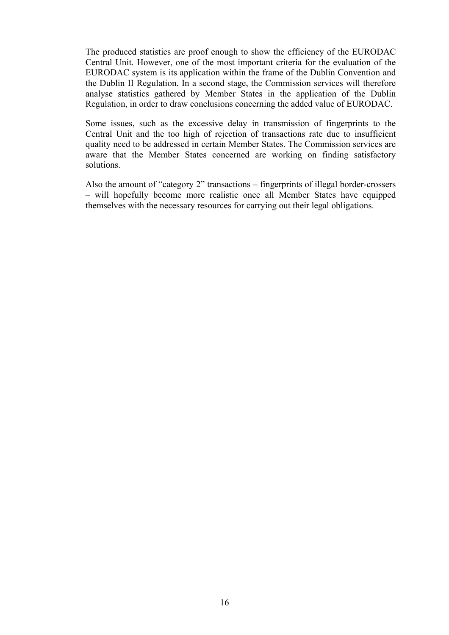The produced statistics are proof enough to show the efficiency of the EURODAC Central Unit. However, one of the most important criteria for the evaluation of the EURODAC system is its application within the frame of the Dublin Convention and the Dublin II Regulation. In a second stage, the Commission services will therefore analyse statistics gathered by Member States in the application of the Dublin Regulation, in order to draw conclusions concerning the added value of EURODAC.

Some issues, such as the excessive delay in transmission of fingerprints to the Central Unit and the too high of rejection of transactions rate due to insufficient quality need to be addressed in certain Member States. The Commission services are aware that the Member States concerned are working on finding satisfactory solutions.

Also the amount of "category 2" transactions – fingerprints of illegal border-crossers – will hopefully become more realistic once all Member States have equipped themselves with the necessary resources for carrying out their legal obligations.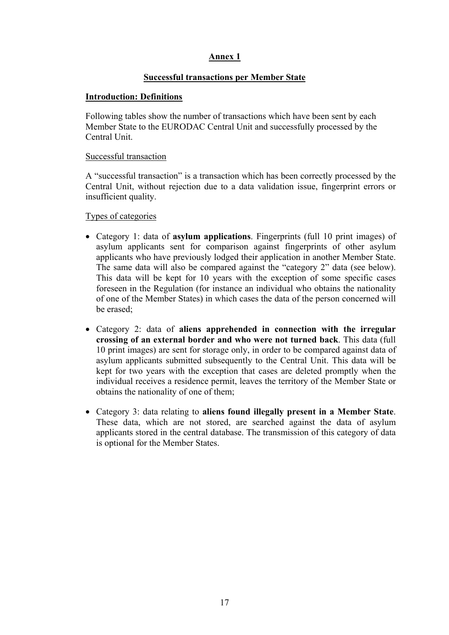### **Successful transactions per Member State**

### **Introduction: Definitions**

Following tables show the number of transactions which have been sent by each Member State to the EURODAC Central Unit and successfully processed by the Central Unit.

### Successful transaction

A "successful transaction" is a transaction which has been correctly processed by the Central Unit, without rejection due to a data validation issue, fingerprint errors or insufficient quality.

Types of categories

- Category 1: data of **asylum applications**. Fingerprints (full 10 print images) of asylum applicants sent for comparison against fingerprints of other asylum applicants who have previously lodged their application in another Member State. The same data will also be compared against the "category 2" data (see below). This data will be kept for 10 years with the exception of some specific cases foreseen in the Regulation (for instance an individual who obtains the nationality of one of the Member States) in which cases the data of the person concerned will be erased;
- Category 2: data of **aliens apprehended in connection with the irregular crossing of an external border and who were not turned back**. This data (full 10 print images) are sent for storage only, in order to be compared against data of asylum applicants submitted subsequently to the Central Unit. This data will be kept for two years with the exception that cases are deleted promptly when the individual receives a residence permit, leaves the territory of the Member State or obtains the nationality of one of them;
- Category 3: data relating to **aliens found illegally present in a Member State**. These data, which are not stored, are searched against the data of asylum applicants stored in the central database. The transmission of this category of data is optional for the Member States.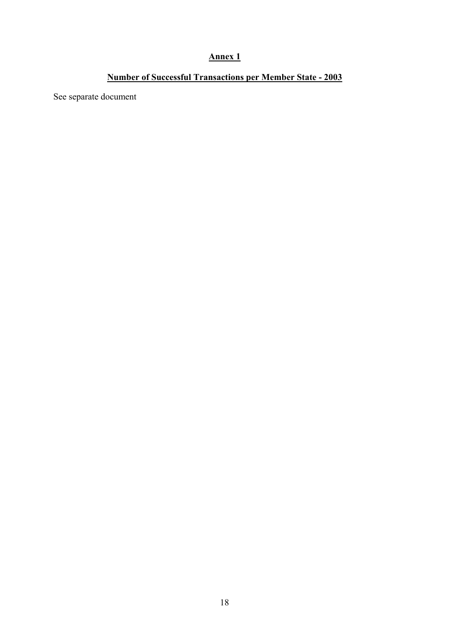# **Number of Successful Transactions per Member State - 2003**

See separate document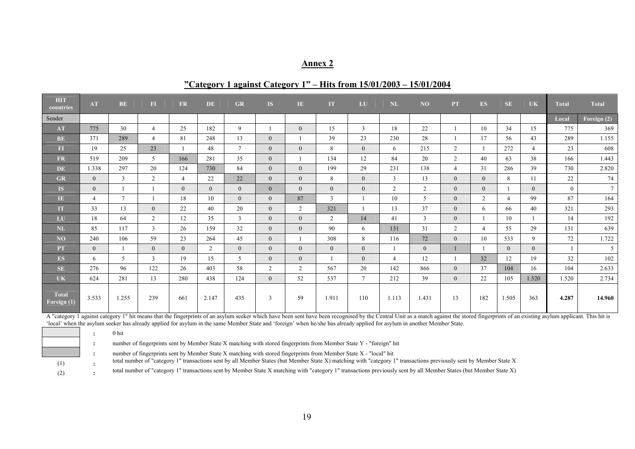#### **"Category 1 against Category 1" – Hits from 15/01/2003 – 15/01/2004**

| HIT<br>countries                    | <b>AT</b>      | <b>BE</b> | F1             | <b>FR</b>      | DE             | <b>GR</b>      | IS.            | $\mathbf{I}$   | IT.            | LU             | NL             | N <sub>O</sub> | <b>PT</b>      | ES             | <b>SE</b>      | UK             | <b>Total</b>   | <b>Total</b>    |
|-------------------------------------|----------------|-----------|----------------|----------------|----------------|----------------|----------------|----------------|----------------|----------------|----------------|----------------|----------------|----------------|----------------|----------------|----------------|-----------------|
| Sender                              |                |           |                |                |                |                |                |                |                |                |                |                |                |                |                |                | Local          | Foreign (2)     |
| AT                                  | 775            | 30        | $\overline{4}$ | 25             | 182            | 9              |                | $\theta$       | 15             | 3              | 18             | 22             |                | 10             | 34             | 15             | 775            | 369             |
| BE                                  | 371            | 289       | $\overline{4}$ | 81             | 248            | 13             | $\theta$       |                | 39             | 23             | 230            | 28             |                | 17             | 56             | 43             | 289            | 1.155           |
| $\mathbf{FI}$                       | 19             | 25        | 23             |                | 48             | $\tau$         | $\theta$       | $\theta$       | 8              | $\overline{0}$ | 6              | 215            | $\overline{2}$ |                | 272            | $\overline{4}$ | 23             | 608             |
| <b>FR</b>                           | 519            | 209       | 5              | 166            | 281            | 35             | $\overline{0}$ |                | 134            | 12             | 84             | 20             | $\overline{2}$ | 40             | 63             | 38             | 166            | 1.443           |
| DE                                  | 1.338          | 297       | 20             | 124            | 730            | 84             | $\theta$       | $\Omega$       | 199            | 29             | 231            | 138            | $\overline{4}$ | 31             | 286            | 39             | 730            | 2.820           |
| GR                                  | $\overline{0}$ | 3         | 2              | $\overline{4}$ | 22             | 22             | $\overline{0}$ | $\overline{0}$ | 8              | $\overline{0}$ | 3              | 13             | $\overline{0}$ | $\overline{0}$ | 8              | 11             | 22             | 74              |
| IS.                                 | $\overline{0}$ |           |                | $\overline{0}$ | $\overline{0}$ | $\Omega$       | $\Omega$       | $\theta$       | $\Omega$       | $\Omega$       | 2              | $\overline{2}$ | $\theta$       | $\theta$       |                | $\overline{0}$ | $\overline{0}$ | $7\overline{ }$ |
| $\ensuremath{\mathsf{I}\mathsf{E}}$ | $\overline{4}$ | $\tau$    |                | 18             | 10             | $\theta$       | $\theta$       | 87             | 3              |                | 10             | 5              | $\theta$       | 2              | $\overline{4}$ | 99             | 87             | 164             |
| IT                                  | 33             | 13        | $\overline{0}$ | 22             | 40             | 20             | $\Omega$       | 2              | 321            |                | 13             | 37             | $\theta$       | 6              | 66             | 40             | 321            | 293             |
| LU                                  | 18             | 64        | 2              | 12             | 35             | $\mathbf{3}$   | $\overline{0}$ | $\Omega$       | 2              | 14             | 41             | $\mathbf{3}$   | $\theta$       |                | 10             |                | 14             | 192             |
| $\mathbf{NL}$                       | 85             | 117       | $\mathbf{3}$   | 26             | 159            | 32             | $\theta$       | $\Omega$       | 90             | 6              | 131            | 31             | $\overline{2}$ | $\overline{4}$ | 55             | 29             | 131            | 639             |
| NO                                  | 240            | 106       | 59             | 23             | 264            | 45             | $\Omega$       |                | 308            | 8              | 116            | 72             | $\theta$       | 10             | 533            | 9              | 72             | 1.722           |
| <b>PT</b>                           | $\overline{0}$ |           | $\mathbf{0}$   | $\mathbf{0}$   | $\overline{2}$ | $\overline{0}$ | $\theta$       | $\theta$       | $\overline{0}$ | $\overline{0}$ | $\mathbf{1}$   | $\theta$       |                |                | $\theta$       | $\overline{0}$ | 1              | 5 <sup>5</sup>  |
| ES.                                 | 6              | 5         | 3              | 19             | 15             | 5              | $\overline{0}$ | $\theta$       |                | $\theta$       | $\overline{4}$ | 12             |                | 32             | 12             | 19             | 32             | 102             |
| <b>SE</b>                           | 276            | 96        | 122            | 26             | 403            | 58             | 2              | 2              | 567            | 20             | 142            | 866            | $\theta$       | 37             | 104            | 16             | 104            | 2.633           |
| <b>UK</b>                           | 624            | 281       | 13             | 280            | 438            | 124            | $\overline{0}$ | 52             | 537            | 7 <sup>7</sup> | 212            | 39             | $\overline{0}$ | 22             | 105            | 1.520          | 1.520          | 2.734           |
| <b>Total</b><br>Foreign (1)         | 3.533          | 1.255     | 239            | 661            | 2.147          | 435            | 3              | 59             | 1.911          | 110            | 1.113          | 1.431          | 13             | 182            | 1.505          | 363            | 4.287          | 14.960          |

A "category 1 against category 1" hit means that the fingerprints of an asylum seeker which have been sent have been recognised by the Central Unit as a match against the stored fingerprints of an existing asylum applicant 'local' when the asylum seeker has already applied for asylum in the same Member State and 'foreign' when he/she has already applied for asylum in another Member State.

**:** 0 hit

**:** number of fingerprints sent by Member State X matching with stored fingerprints from Member State Y - "foreign" hit

**:** number of fingerprints sent by Member State X matching with stored fingerprints from Member State X - "local" hit

total number of "category 1" transactions sent by all Member States (but Member State X) matching with "category 1" transactions previously sent by Member State X

total number of "category 1" transactions sent by Member State X matching with "category 1" transactions previously sent by all Member States (but Member State X)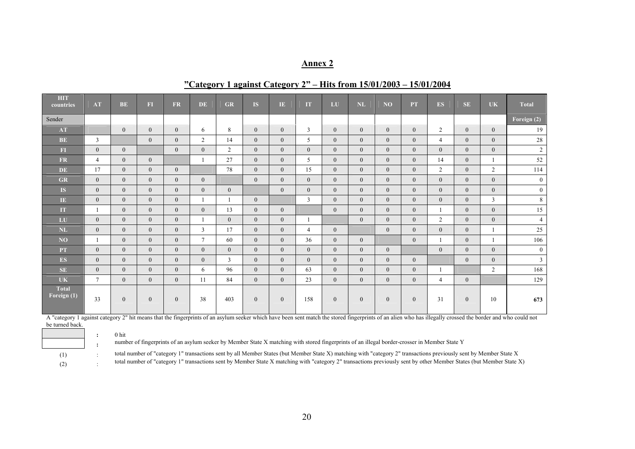### **"Category 1 against Category 2" – Hits from 15/01/2003 – 15/01/2004**

| <b>HIT</b><br>countries     | AT             | <b>BE</b>      | $\overline{\textbf{F}}$ | FR             | <b>DE</b>      | <b>GR</b>      | <b>IS</b>      | IE.            | <b>IT</b>      | LU             | NL             | N <sub>O</sub> | <b>PT</b>      | <b>ES</b>      | SE.            | <b>UK</b>      | <b>Total</b>   |
|-----------------------------|----------------|----------------|-------------------------|----------------|----------------|----------------|----------------|----------------|----------------|----------------|----------------|----------------|----------------|----------------|----------------|----------------|----------------|
| Sender                      |                |                |                         |                |                |                |                |                |                |                |                |                |                |                |                |                | Foreign $(2)$  |
| AT                          |                | $\overline{0}$ | $\mathbf{0}$            | $\overline{0}$ | 6              | 8              | $\theta$       | $\overline{0}$ | $\overline{3}$ | $\overline{0}$ | $\Omega$       | $\overline{0}$ | $\overline{0}$ | $\overline{2}$ | $\theta$       | $\theta$       | 19             |
| BE                          | $\overline{3}$ |                | $\overline{0}$          | $\overline{0}$ | $\overline{2}$ | 14             | $\theta$       | $\overline{0}$ | 5              | $\overline{0}$ | $\theta$       | $\overline{0}$ | $\overline{0}$ | $\overline{4}$ | $\overline{0}$ | $\overline{0}$ | 28             |
| FI                          | $\overline{0}$ | $\overline{0}$ |                         | $\theta$       | $\theta$       | $\overline{2}$ | $\theta$       | $\Omega$       | $\theta$       | $\overline{0}$ | $\theta$       | $\theta$       | $\overline{0}$ | $\Omega$       | $\theta$       | $\theta$       | $\overline{c}$ |
| <b>FR</b>                   | $\overline{4}$ | $\mathbf{0}$   | $\mathbf{0}$            |                | $\mathbf{1}$   | 27             | $\theta$       | $\Omega$       | 5              | $\mathbf{0}$   | $\overline{0}$ | $\theta$       | $\theta$       | 14             | $\theta$       |                | 52             |
| <b>DE</b>                   | 17             | $\overline{0}$ | $\overline{0}$          | $\overline{0}$ |                | 78             | $\theta$       | $\Omega$       | 15             | $\overline{0}$ | $\theta$       | $\theta$       | $\Omega$       | $\overline{2}$ | $\overline{0}$ | $\overline{2}$ | 114            |
| <b>GR</b>                   | $\overline{0}$ | $\theta$       | $\Omega$                | $\theta$       | $\theta$       |                | $\theta$       | $\theta$       | $\theta$       | $\theta$       | $\theta$       | $\theta$       | $\Omega$       | $\Omega$       | $\theta$       | $\theta$       | $\overline{0}$ |
| <b>IS</b>                   | $\overline{0}$ | $\overline{0}$ | $\overline{0}$          | $\overline{0}$ | $\overline{0}$ | $\overline{0}$ |                | $\mathbf{0}$   | $\overline{0}$ | $\overline{0}$ | $\overline{0}$ | $\overline{0}$ | $\overline{0}$ | $\Omega$       | $\theta$       | $\theta$       | $\mathbf{0}$   |
| $\overline{1E}$             | $\overline{0}$ | $\mathbf{0}$   | $\overline{0}$          | $\overline{0}$ | $\mathbf{1}$   |                | $\theta$       |                | 3              | $\theta$       | $\theta$       | $\theta$       | $\Omega$       | $\Omega$       | $\theta$       | 3              | 8              |
| <b>IT</b>                   | $\mathbf{1}$   | $\mathbf{0}$   | $\overline{0}$          | $\overline{0}$ | $\mathbf{0}$   | 13             | $\theta$       | $\mathbf{0}$   |                | $\mathbf{0}$   | $\overline{0}$ | $\overline{0}$ | $\overline{0}$ |                | $\overline{0}$ | $\mathbf{0}$   | 15             |
| LU                          | $\overline{0}$ | $\overline{0}$ | $\mathbf{0}$            | $\mathbf{0}$   |                | $\overline{0}$ | $\theta$       | $\overline{0}$ |                |                | $\Omega$       | $\theta$       | $\overline{0}$ | 2              | $\Omega$       | $\overline{0}$ | $\overline{4}$ |
| NL                          | $\overline{0}$ | $\overline{0}$ | $\overline{0}$          | $\overline{0}$ | $\overline{3}$ | 17             | $\overline{0}$ | $\mathbf{0}$   | $\overline{4}$ | $\overline{0}$ |                | $\theta$       | $\overline{0}$ | $\Omega$       | $\theta$       |                | 25             |
| NO                          | 1              | $\mathbf{0}$   | $\overline{0}$          | $\overline{0}$ | $\tau$         | 60             | $\theta$       | $\Omega$       | 36             | $\theta$       | $\overline{0}$ |                | $\Omega$       |                | $\theta$       |                | 106            |
| <b>PT</b>                   | $\overline{0}$ | $\mathbf{0}$   | $\overline{0}$          | $\overline{0}$ | $\overline{0}$ | $\Omega$       | $\theta$       | $\theta$       | $\theta$       | $\theta$       | $\overline{0}$ | $\overline{0}$ |                | $\Omega$       | $\theta$       | $\theta$       | $\mathbf{0}$   |
| <b>ES</b>                   | $\overline{0}$ | $\mathbf{0}$   | $\overline{0}$          | $\overline{0}$ | $\overline{0}$ | 3              | $\theta$       | $\mathbf{0}$   | $\theta$       | $\overline{0}$ | $\overline{0}$ | $\overline{0}$ | $\overline{0}$ |                | $\theta$       | $\theta$       | $\overline{3}$ |
| <b>SE</b>                   | $\theta$       | $\overline{0}$ | $\overline{0}$          | $\overline{0}$ | 6              | 96             | $\theta$       | $\Omega$       | 63             | $\theta$       | $\Omega$       | $\theta$       | $\overline{0}$ |                |                | $\overline{2}$ | 168            |
| <b>UK</b>                   | $\tau$         | $\overline{0}$ | $\overline{0}$          | $\overline{0}$ | 11             | 84             | $\theta$       | $\Omega$       | 23             | $\theta$       | $\Omega$       | $\theta$       | $\Omega$       | $\overline{4}$ | $\overline{0}$ |                | 129            |
| <b>Total</b><br>Foreign (1) | 33             | $\mathbf{0}$   | $\overline{0}$          | $\overline{0}$ | 38             | 403            | $\theta$       | $\overline{0}$ | 158            | $\overline{0}$ | $\overline{0}$ | $\overline{0}$ | $\overline{0}$ | 31             | $\theta$       | 10             | 673            |

A "category 1 against category 2" hit means that the fingerprints of an asylum seeker which have been sent match the stored fingerprints of an alien who has illegally crossed the border and who could not be turned back.

**:** 0 hit

**:** number of fingerprints of an asylum seeker by Member State X matching with stored fingerprints of an illegal border-crosser in Member State Y

(1) : total number of "category 1" transactions sent by all Member States (but Member State X) matching with "category 2" transactions previously sent by Member State X total number of "category 1" transactions sent by Member State X matching with "category 2" transactions previously sent by other Member States (but Member State X)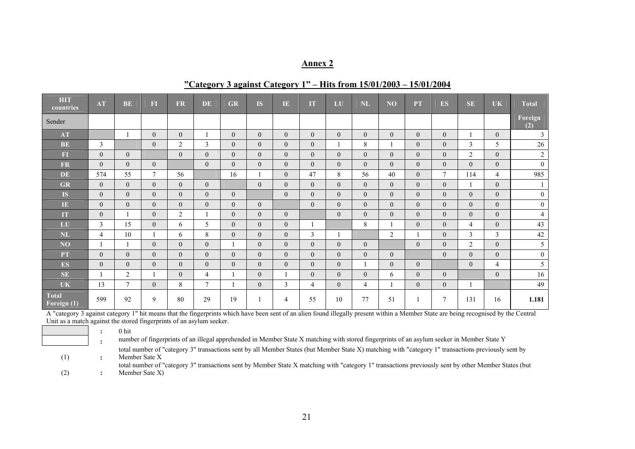| <b>HIT</b><br>countries       | <b>AT</b>      | <b>BE</b>      | <b>FI</b>      | <b>FR</b>        | DE.              | <b>GR</b>        | <b>IS</b>        | TE.              | <b>IT</b>      | LU             | <b>NL</b>      | NO             | <b>PT</b>      | <b>ES</b>      | <b>SE</b>      | <b>UK</b>      | <b>Total</b>   |
|-------------------------------|----------------|----------------|----------------|------------------|------------------|------------------|------------------|------------------|----------------|----------------|----------------|----------------|----------------|----------------|----------------|----------------|----------------|
| Sender                        |                |                |                |                  |                  |                  |                  |                  |                |                |                |                |                |                |                |                | Foreign<br>(2) |
| AT                            |                |                | $\theta$       | $\overline{0}$   |                  | $\overline{0}$   | $\overline{0}$   | $\overline{0}$   | $\overline{0}$ | $\overline{0}$ | $\theta$       | $\theta$       | $\Omega$       | $\theta$       |                | $\overline{0}$ | 3              |
| BE                            | $\overline{3}$ |                | $\overline{0}$ | $\overline{2}$   | $\mathfrak{Z}$   | $\boldsymbol{0}$ | $\mathbf{0}$     | $\overline{0}$   | $\overline{0}$ |                | 8              |                | $\theta$       | $\theta$       | 3              | 5              | 26             |
| F1                            | $\overline{0}$ | $\overline{0}$ |                | $\mathbf{0}$     | $\mathbf{0}$     | $\overline{0}$   | $\overline{0}$   | $\overline{0}$   | $\overline{0}$ | $\overline{0}$ | $\theta$       | $\theta$       | $\theta$       | $\theta$       | $\overline{2}$ | $\overline{0}$ | $\overline{c}$ |
| <b>FR</b>                     | $\overline{0}$ | $\theta$       | $\overline{0}$ |                  | $\mathbf{0}$     | $\overline{0}$   | $\overline{0}$   | $\overline{0}$   | $\overline{0}$ | $\overline{0}$ | $\theta$       | $\Omega$       | $\theta$       | $\theta$       | $\Omega$       | $\overline{0}$ | $\overline{0}$ |
| <b>DE</b>                     | 574            | 55             | $\tau$         | 56               |                  | 16               |                  | $\mathbf{0}$     | 47             | 8              | 56             | 40             | $\theta$       | $\overline{7}$ | 114            | $\overline{4}$ | 985            |
| GR                            | $\theta$       | $\theta$       | $\theta$       | $\overline{0}$   | $\mathbf{0}$     |                  | $\mathbf{0}$     | $\overline{0}$   | $\overline{0}$ | $\theta$       | $\theta$       | $\theta$       | $\theta$       | $\theta$       |                | $\theta$       |                |
| <b>IS</b>                     | $\overline{0}$ | $\overline{0}$ | $\overline{0}$ | $\overline{0}$   | $\mathbf{0}$     | $\overline{0}$   |                  | $\overline{0}$   | $\overline{0}$ | $\overline{0}$ | $\overline{0}$ | $\overline{0}$ | $\overline{0}$ | $\overline{0}$ | $\overline{0}$ | $\overline{0}$ | $\mathbf{0}$   |
| $\mathbf{I}\mathbf{E}$        | $\theta$       | $\theta$       | $\overline{0}$ | $\overline{0}$   | $\mathbf{0}$     | $\overline{0}$   | $\overline{0}$   |                  | $\overline{0}$ | $\Omega$       | $\theta$       | $\theta$       | $\theta$       | $\theta$       | $\Omega$       | $\Omega$       | $\overline{0}$ |
| IT                            | $\theta$       |                | $\overline{0}$ | $\overline{2}$   |                  | $\overline{0}$   | $\mathbf{0}$     | $\mathbf{0}$     |                | $\theta$       | $\theta$       | $\theta$       | $\theta$       | $\theta$       | $\overline{0}$ | $\overline{0}$ | 4              |
| LU                            | $\overline{3}$ | 15             | $\overline{0}$ | 6                | 5                | $\overline{0}$   | $\overline{0}$   | $\overline{0}$   |                |                | 8              |                | $\theta$       | $\theta$       | $\overline{4}$ | $\Omega$       | 43             |
| $\mathbf{NL}$                 | $\overline{4}$ | 10             |                | 6                | 8                | $\overline{0}$   | $\mathbf{0}$     | $\overline{0}$   | $\overline{3}$ |                |                | $\overline{2}$ |                | $\theta$       | 3              | $\mathfrak{Z}$ | 42             |
| NO                            |                |                | $\overline{0}$ | $\boldsymbol{0}$ | $\boldsymbol{0}$ | 1                | $\boldsymbol{0}$ | $\boldsymbol{0}$ | $\overline{0}$ | $\overline{0}$ | $\theta$       |                | $\theta$       | $\theta$       | $\overline{2}$ | $\Omega$       | 5              |
| <b>PT</b>                     | $\overline{0}$ | $\overline{0}$ | $\overline{0}$ | $\overline{0}$   | $\boldsymbol{0}$ | $\boldsymbol{0}$ | $\mathbf{0}$     | $\overline{0}$   | $\overline{0}$ | $\overline{0}$ | $\theta$       | $\overline{0}$ |                | $\mathbf{0}$   | $\overline{0}$ | $\overline{0}$ | $\mathbf{0}$   |
| ES                            | $\overline{0}$ | $\overline{0}$ | $\overline{0}$ | $\overline{0}$   | $\mathbf{0}$     | $\boldsymbol{0}$ | $\overline{0}$   | $\mathbf{0}$     | $\overline{0}$ | $\overline{0}$ |                | $\theta$       | $\overline{0}$ |                | $\overline{0}$ | $\overline{4}$ | 5              |
| SE                            |                | $\overline{2}$ |                | $\overline{0}$   | $\overline{4}$   | 1                | $\mathbf{0}$     |                  | $\overline{0}$ | $\theta$       | $\theta$       | 6              | $\theta$       | $\theta$       |                | $\Omega$       | 16             |
| <b>UK</b>                     | 13             | $\tau$         | $\overline{0}$ | 8                | $\tau$           | 1                | $\overline{0}$   | 3                | $\overline{4}$ | $\overline{0}$ | $\overline{4}$ |                | $\theta$       | $\overline{0}$ |                |                | 49             |
| <b>Total</b><br>Foreign $(1)$ | 599            | 92             | 9              | 80               | 29               | 19               |                  | 4                | 55             | 10             | 77             | 51             |                | 7              | 131            | 16             | 1.181          |

A "category 3 against category 1" hit means that the fingerprints which have been sent of an alien found illegally present within a Member State are being recognised by the Central Unit as a match against the stored fingerprints of an asylum seeker.

**:** 0 hit

**:** number of fingerprints of an illegal apprehended in Member State X matching with stored fingerprints of an asylum seeker in Member State Y

total number of "category 3" transactions sent by all Member States (but Member State X) matching with "category 1" transactions previously sent by Member Sate X

(1) **:**   $(2)$  : total number of "category 3" transactions sent by Member State X matching with "category 1" transactions previously sent by other Member States (but Member Sate X)